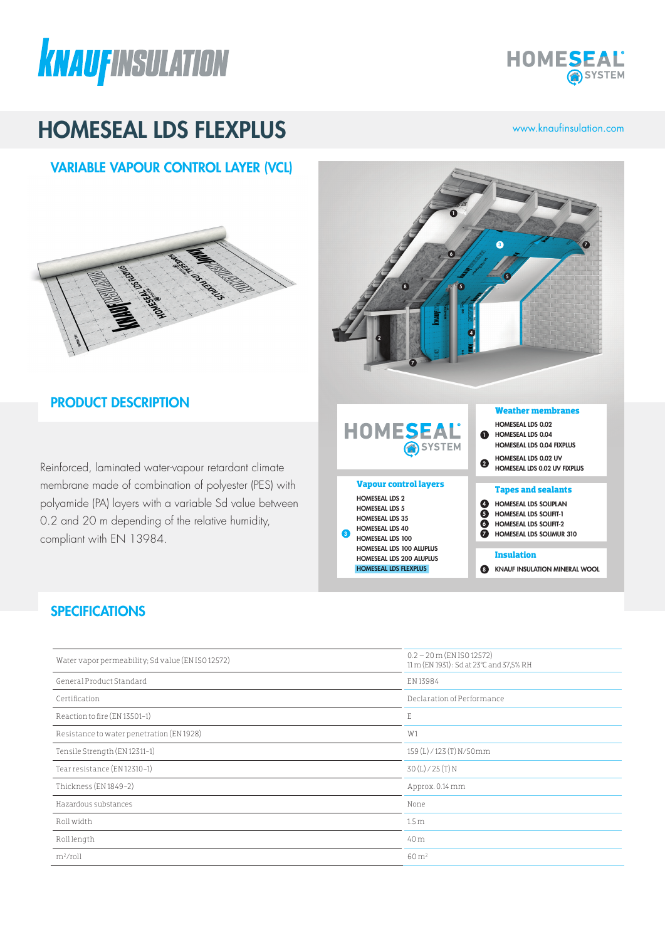



# HOMESEAL LDS FLEXPLUS www.knaufinsulation.com

# VARIABLE VAPOUR CONTROL LAYER (VCL)



## PRODUCT DESCRIPTION

Reinforced, laminated water-vapour retardant climate membrane made of combination of polyester (PES) with polyamide (PA) layers with a variable Sd value between 0.2 and 20 m depending of the relative humidity, compliant with EN 13984.



## **SPECIFICATIONS**

| Water vapor permeability; Sd value (EN ISO 12572) | $0.2 - 20$ m (EN ISO 12572)<br>11 m (EN 1931): Sd at 23°C and 37,5% RH |
|---------------------------------------------------|------------------------------------------------------------------------|
| General Product Standard                          | EN 13984                                                               |
| Certification                                     | Declaration of Performance                                             |
| Reaction to fire (EN 13501-1)                     | E                                                                      |
| Resistance to water penetration (EN 1928)         | W1                                                                     |
| Tensile Strength (EN 12311-1)                     | 159 (L) / 123 (T) N/50mm                                               |
| Tear resistance (EN 12310-1)                      | 30(L)/25(T)N                                                           |
| Thickness (EN 1849-2)                             | Approx. 0.14 mm                                                        |
| Hazardous substances                              | None                                                                   |
| Roll width                                        | 1.5 <sub>m</sub>                                                       |
| Rolllength                                        | 40 m                                                                   |
| $m^2$ /roll                                       | $60 \,\mathrm{m}^2$                                                    |